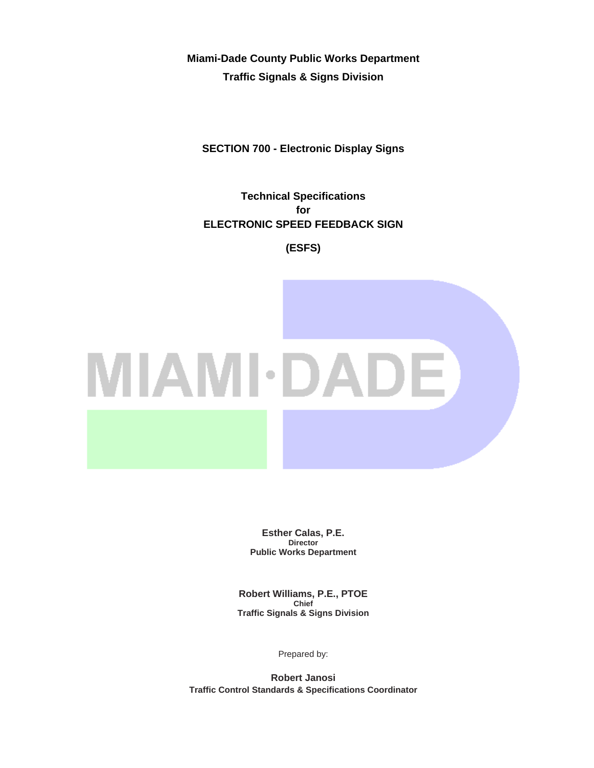**Miami-Dade County Public Works Department Traffic Signals & Signs Division** 

**SECTION 700 - Electronic Display Signs** 

**Technical Specifications for ELECTRONIC SPEED FEEDBACK SIGN** 

**(ESFS)** 



**Esther Calas, P.E. Director Public Works Department** 

**Robert Williams, P.E., PTOE Chief Traffic Signals & Signs Division** 

Prepared by:

**Robert Janosi Traffic Control Standards & Specifications Coordinator**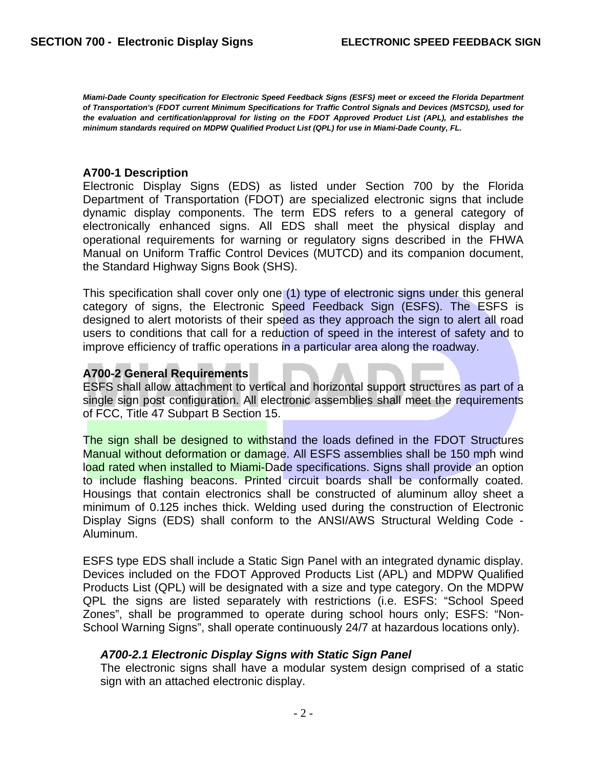*Miami-Dade County specification for Electronic Speed Feedback Signs (ESFS) meet or exceed the Florida Department of Transportation's (FDOT current Minimum Specifications for Traffic Control Signals and Devices (MSTCSD), used for the evaluation and certification/approval for listing on the FDOT Approved Product List (APL), and establishes the minimum standards required on MDPW Qualified Product List (QPL) for use in Miami-Dade County, FL.* 

#### **A700-1 Description**

Electronic Display Signs (EDS) as listed under Section 700 by the Florida Department of Transportation (FDOT) are specialized electronic signs that include dynamic display components. The term EDS refers to a general category of electronically enhanced signs. All EDS shall meet the physical display and operational requirements for warning or regulatory signs described in the FHWA Manual on Uniform Traffic Control Devices (MUTCD) and its companion document, the Standard Highway Signs Book (SHS).

This specification shall cover only one (1) type of electronic signs under this general category of signs, the Electronic Speed Feedback Sign (ESFS). The ESFS is designed to alert motorists of their speed as they approach the sign to alert all road users to conditions that call for a reduction of speed in the interest of safety and to improve efficiency of traffic operations in a particular area along the roadway.

# **A700-2 General Requirements**

ESFS shall allow attachment to vertical and horizontal support structures as part of a single sign post configuration. All electronic assemblies shall meet the requirements of FCC, Title 47 Subpart B Section 15.

The sign shall be designed to withstand the loads defined in the FDOT Structures Manual without deformation or damage. All ESFS assemblies shall be 150 mph wind load rated when installed to Miami-Dade specifications. Signs shall provide an option to include flashing beacons. Printed circuit boards shall be conformally coated. Housings that contain electronics shall be constructed of aluminum alloy sheet a minimum of 0.125 inches thick. Welding used during the construction of Electronic Display Signs (EDS) shall conform to the ANSI/AWS Structural Welding Code - Aluminum.

ESFS type EDS shall include a Static Sign Panel with an integrated dynamic display. Devices included on the FDOT Approved Products List (APL) and MDPW Qualified Products List (QPL) will be designated with a size and type category. On the MDPW QPL the signs are listed separately with restrictions (i.e. ESFS: "School Speed Zones", shall be programmed to operate during school hours only; ESFS: "Non-School Warning Signs", shall operate continuously 24/7 at hazardous locations only).

# *A700-2.1 Electronic Display Signs with Static Sign Panel*

The electronic signs shall have a modular system design comprised of a static sign with an attached electronic display.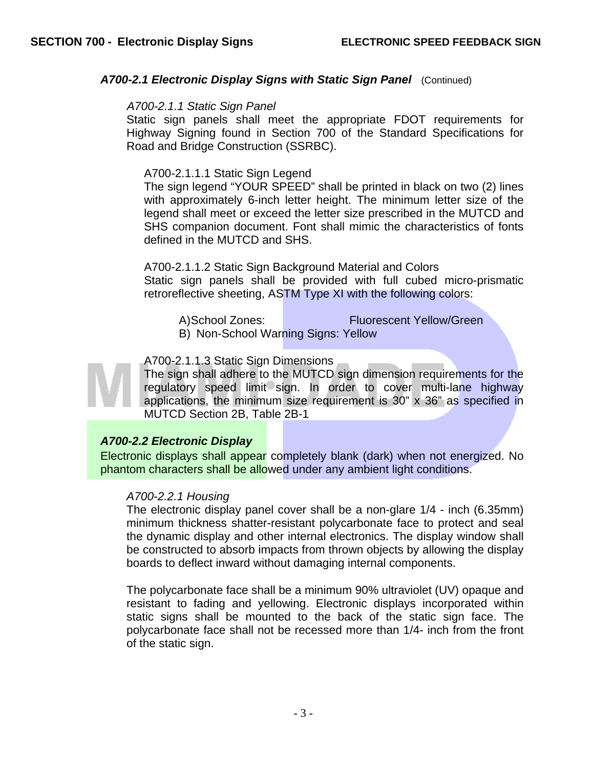# A700-2.1 Electronic Display Signs with Static Sign Panel (Continued)

#### *A700-2.1.1 Static Sign Panel*

Static sign panels shall meet the appropriate FDOT requirements for Highway Signing found in Section 700 of the Standard Specifications for Road and Bridge Construction (SSRBC).

#### A700-2.1.1.1 Static Sign Legend

The sign legend "YOUR SPEED" shall be printed in black on two (2) lines with approximately 6-inch letter height. The minimum letter size of the legend shall meet or exceed the letter size prescribed in the MUTCD and SHS companion document. Font shall mimic the characteristics of fonts defined in the MUTCD and SHS.

A700-2.1.1.2 Static Sign Background Material and Colors Static sign panels shall be provided with full cubed micro-prismatic retroreflective sheeting, ASTM Type XI with the following colors:

- A) School Zones: Fluorescent Yellow/Green
- B) Non-School Warning Signs: Yellow

# A700-2.1.1.3 Static Sign Dimensions



The sign shall adhere to the MUTCD sign dimension requirements for the regulatory speed limit sign. In order to cover multi-lane highway applications, the minimum size requirement is 30" x 36" as specified in MUTCD Section 2B, Table 2B-1

# *A700-2.2 Electronic Display*

Electronic displays shall appear completely blank (dark) when not energized. No phantom characters shall be allowed under any ambient light conditions.

# *A700-2.2.1 Housing*

The electronic display panel cover shall be a non-glare 1/4 - inch (6.35mm) minimum thickness shatter-resistant polycarbonate face to protect and seal the dynamic display and other internal electronics. The display window shall be constructed to absorb impacts from thrown objects by allowing the display boards to deflect inward without damaging internal components.

The polycarbonate face shall be a minimum 90% ultraviolet (UV) opaque and resistant to fading and yellowing. Electronic displays incorporated within static signs shall be mounted to the back of the static sign face. The polycarbonate face shall not be recessed more than 1/4- inch from the front of the static sign.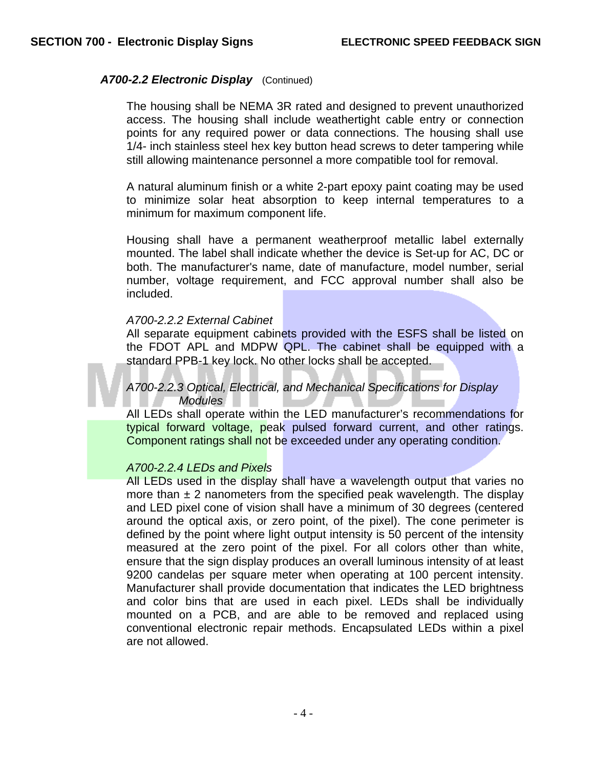## *A700-2.2 Electronic Display* (Continued)

The housing shall be NEMA 3R rated and designed to prevent unauthorized access. The housing shall include weathertight cable entry or connection points for any required power or data connections. The housing shall use 1/4- inch stainless steel hex key button head screws to deter tampering while still allowing maintenance personnel a more compatible tool for removal.

A natural aluminum finish or a white 2-part epoxy paint coating may be used to minimize solar heat absorption to keep internal temperatures to a minimum for maximum component life.

Housing shall have a permanent weatherproof metallic label externally mounted. The label shall indicate whether the device is Set-up for AC, DC or both. The manufacturer's name, date of manufacture, model number, serial number, voltage requirement, and FCC approval number shall also be included.

#### *A700-2.2.2 External Cabinet*

All separate equipment cabinets provided with the ESFS shall be listed on the FDOT APL and MDPW QPL. The cabinet shall be equipped with a standard PPB-1 key lock. No other locks shall be accepted.

# *A700-2.2.3 Optical, Electrical, and Mechanical Specifications for Display Modules*

All LEDs shall operate within the LED manufacturer's recommendations for typical forward voltage, peak pulsed forward current, and other ratings. Component ratings shall not be exceeded under any operating condition.

#### *A700-2.2.4 LEDs and Pixels*

All LEDs used in the display shall have a wavelength output that varies no more than  $\pm 2$  nanometers from the specified peak wavelength. The display and LED pixel cone of vision shall have a minimum of 30 degrees (centered around the optical axis, or zero point, of the pixel). The cone perimeter is defined by the point where light output intensity is 50 percent of the intensity measured at the zero point of the pixel. For all colors other than white, ensure that the sign display produces an overall luminous intensity of at least 9200 candelas per square meter when operating at 100 percent intensity. Manufacturer shall provide documentation that indicates the LED brightness and color bins that are used in each pixel. LEDs shall be individually mounted on a PCB, and are able to be removed and replaced using conventional electronic repair methods. Encapsulated LEDs within a pixel are not allowed.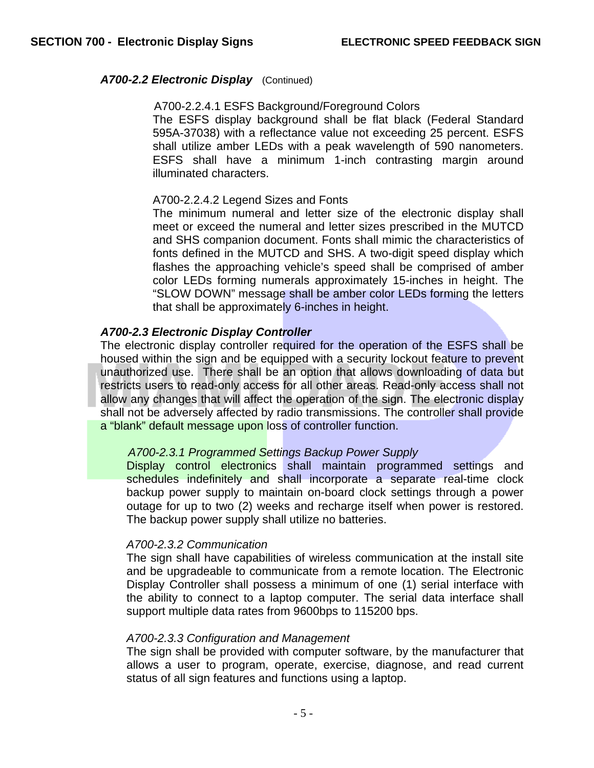#### *A700-2.2 Electronic Display* (Continued)

#### A700-2.2.4.1 ESFS Background/Foreground Colors

The ESFS display background shall be flat black (Federal Standard 595A-37038) with a reflectance value not exceeding 25 percent. ESFS shall utilize amber LEDs with a peak wavelength of 590 nanometers. ESFS shall have a minimum 1-inch contrasting margin around illuminated characters.

#### A700-2.2.4.2 Legend Sizes and Fonts

The minimum numeral and letter size of the electronic display shall meet or exceed the numeral and letter sizes prescribed in the MUTCD and SHS companion document. Fonts shall mimic the characteristics of fonts defined in the MUTCD and SHS. A two-digit speed display which flashes the approaching vehicle's speed shall be comprised of amber color LEDs forming numerals approximately 15-inches in height. The "SLOW DOWN" message shall be amber color LEDs forming the letters that shall be approximately 6-inches in height.

# *A700-2.3 Electronic Display Controller*

The electronic display controller required for the operation of the ESFS shall be housed within the sign and be equipped with a security lockout feature to prevent unauthorized use. There shall be an option that allows downloading of data but restricts users to read-only access for all other areas. Read-only access shall not allow any changes that will affect the operation of the sign. The electronic display shall not be adversely affected by radio transmissions. The controller shall provide a "blank" default message upon loss of controller function.

# *A700-2.3.1 Programmed Settings Backup Power Supply*

Display control electronics shall maintain programmed settings and schedules indefinitely and shall incorporate a separate real-time clock backup power supply to maintain on-board clock settings through a power outage for up to two (2) weeks and recharge itself when power is restored. The backup power supply shall utilize no batteries.

#### *A700-2.3.2 Communication*

The sign shall have capabilities of wireless communication at the install site and be upgradeable to communicate from a remote location. The Electronic Display Controller shall possess a minimum of one (1) serial interface with the ability to connect to a laptop computer. The serial data interface shall support multiple data rates from 9600bps to 115200 bps.

#### *A700-2.3.3 Configuration and Management*

The sign shall be provided with computer software, by the manufacturer that allows a user to program, operate, exercise, diagnose, and read current status of all sign features and functions using a laptop.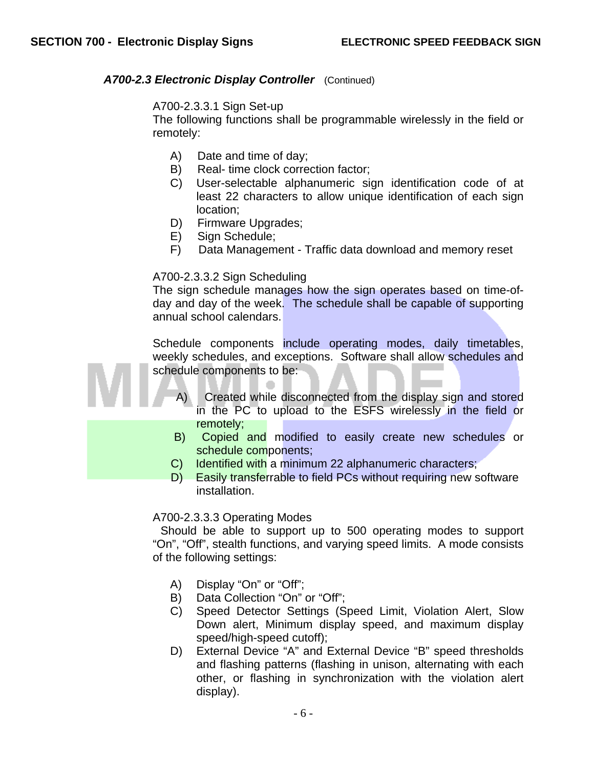# *A700-2.3 Electronic Display Controller* (Continued)

# A700-2.3.3.1 Sign Set-up

The following functions shall be programmable wirelessly in the field or remotely:

- A) Date and time of day;
- B) Real- time clock correction factor;
- C) User-selectable alphanumeric sign identification code of at least 22 characters to allow unique identification of each sign location;
- D) Firmware Upgrades;
- E) Sign Schedule;
- F) Data Management Traffic data download and memory reset

# A700-2.3.3.2 Sign Scheduling

The sign schedule manages how the sign operates based on time-ofday and day of the week. The schedule shall be capable of supporting annual school calendars.

Schedule components include operating modes, daily timetables, weekly schedules, and exceptions. Software shall allow schedules and schedule components to be:



- A) Created while disconnected from the display sign and stored in the PC to upload to the ESFS wirelessly in the field or remotely;
- B) Copied and modified to easily create new schedules or schedule components;
- C) Identified with a minimum 22 alphanumeric characters;
- D) Easily transferrable to field PCs without requiring new software installation.

# A700-2.3.3.3 Operating Modes

Should be able to support up to 500 operating modes to support "On", "Off", stealth functions, and varying speed limits. A mode consists of the following settings:

- A) Display "On" or "Off";
- B) Data Collection "On" or "Off";
- C) Speed Detector Settings (Speed Limit, Violation Alert, Slow Down alert, Minimum display speed, and maximum display speed/high-speed cutoff);
- D) External Device "A" and External Device "B" speed thresholds and flashing patterns (flashing in unison, alternating with each other, or flashing in synchronization with the violation alert display).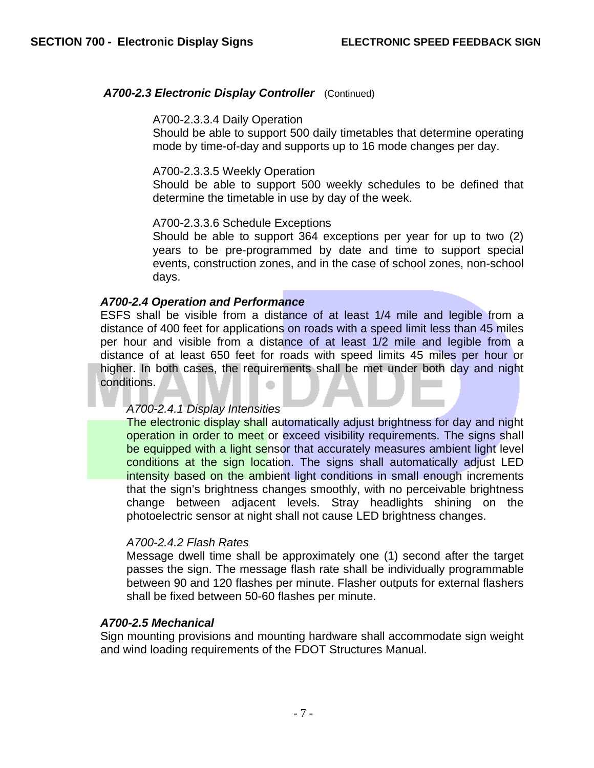# *A700-2.3 Electronic Display Controller* (Continued)

#### A700-2.3.3.4 Daily Operation

Should be able to support 500 daily timetables that determine operating mode by time-of-day and supports up to 16 mode changes per day.

#### A700-2.3.3.5 Weekly Operation

Should be able to support 500 weekly schedules to be defined that determine the timetable in use by day of the week.

#### A700-2.3.3.6 Schedule Exceptions

Should be able to support 364 exceptions per year for up to two (2) years to be pre-programmed by date and time to support special events, construction zones, and in the case of school zones, non-school days.

# *A700-2.4 Operation and Performance*

ESFS shall be visible from a distance of at least 1/4 mile and legible from a distance of 400 feet for applications on roads with a speed limit less than 45 miles per hour and visible from a distance of at least 1/2 mile and legible from a distance of at least 650 feet for roads with speed limits 45 miles per hour or higher. In both cases, the requirements shall be met under both day and night conditions. ≏

# *A700-2.4.1 Display Intensities*

The electronic display shall automatically adjust brightness for day and night operation in order to meet or exceed visibility requirements. The signs shall be equipped with a light sensor that accurately measures ambient light level conditions at the sign location. The signs shall automatically adjust LED intensity based on the ambient light conditions in small enough increments that the sign's brightness changes smoothly, with no perceivable brightness change between adjacent levels. Stray headlights shining on the photoelectric sensor at night shall not cause LED brightness changes.

# *A700-2.4.2 Flash Rates*

Message dwell time shall be approximately one (1) second after the target passes the sign. The message flash rate shall be individually programmable between 90 and 120 flashes per minute. Flasher outputs for external flashers shall be fixed between 50-60 flashes per minute.

# *A700-2.5 Mechanical*

Sign mounting provisions and mounting hardware shall accommodate sign weight and wind loading requirements of the FDOT Structures Manual.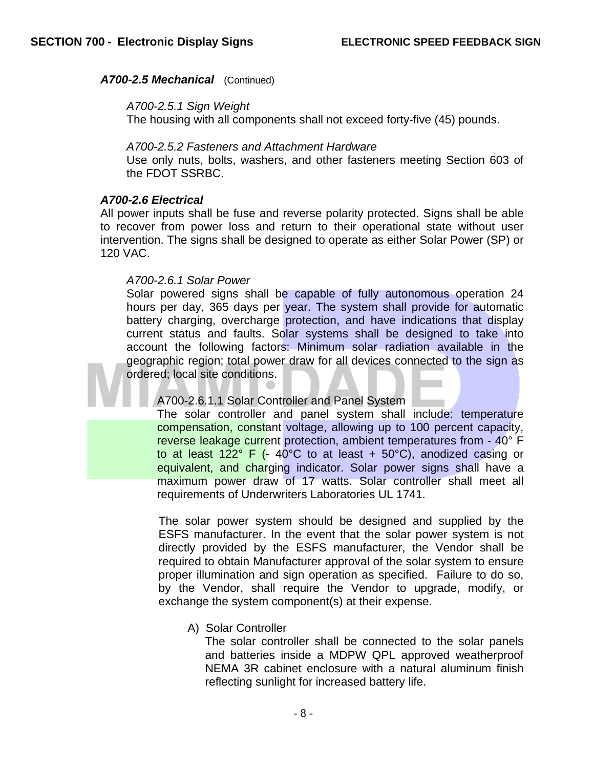# *A700-2.5 Mechanical* (Continued)

#### *A700-2.5.1 Sign Weight*

The housing with all components shall not exceed forty-five (45) pounds.

#### *A700-2.5.2 Fasteners and Attachment Hardware*

Use only nuts, bolts, washers, and other fasteners meeting Section 603 of the FDOT SSRBC.

#### *A700-2.6 Electrical*

All power inputs shall be fuse and reverse polarity protected. Signs shall be able to recover from power loss and return to their operational state without user intervention. The signs shall be designed to operate as either Solar Power (SP) or 120 VAC.

#### *A700-2.6.1 Solar Power*

Solar powered signs shall be capable of fully autonomous operation 24 hours per day, 365 days per year. The system shall provide for automatic battery charging, overcharge protection, and have indications that display current status and faults. Solar systems shall be designed to take into account the following factors: Minimum solar radiation available in the geographic region; total power draw for all devices connected to the sign as ordered; local site conditions.

# A700-2.6.1.1 Solar Controller and Panel System

The solar controller and panel system shall include: temperature compensation, constant voltage, allowing up to 100 percent capacity, reverse leakage current protection, ambient temperatures from - 40° F to at least  $122^{\circ}$  F (-  $40^{\circ}$ C to at least +  $50^{\circ}$ C), anodized casing or equivalent, and charging indicator. Solar power signs shall have a maximum power draw of 17 watts. Solar controller shall meet all requirements of Underwriters Laboratories UL 1741.

The solar power system should be designed and supplied by the ESFS manufacturer. In the event that the solar power system is not directly provided by the ESFS manufacturer, the Vendor shall be required to obtain Manufacturer approval of the solar system to ensure proper illumination and sign operation as specified. Failure to do so, by the Vendor, shall require the Vendor to upgrade, modify, or exchange the system component(s) at their expense.

# A) Solar Controller

The solar controller shall be connected to the solar panels and batteries inside a MDPW QPL approved weatherproof NEMA 3R cabinet enclosure with a natural aluminum finish reflecting sunlight for increased battery life.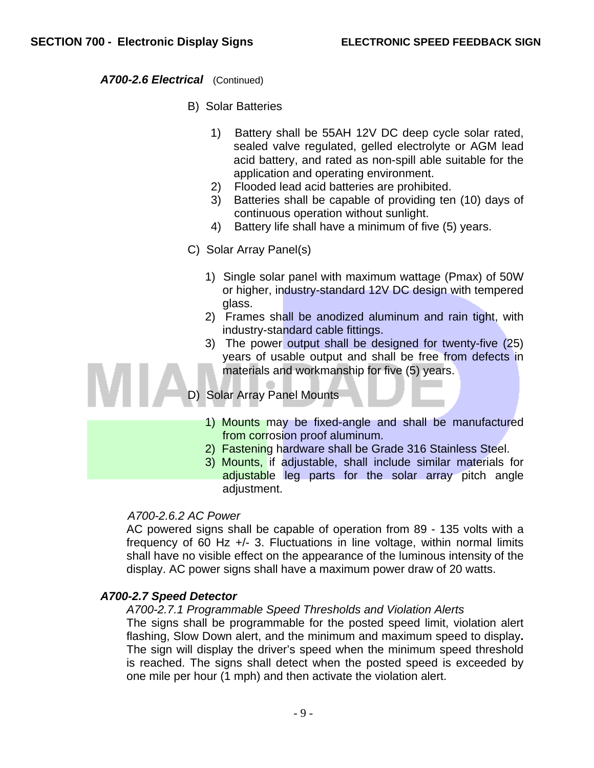*A700-2.6 Electrical* (Continued)

- B) Solar Batteries
	- 1) Battery shall be 55AH 12V DC deep cycle solar rated, sealed valve regulated, gelled electrolyte or AGM lead acid battery, and rated as non-spill able suitable for the application and operating environment.
	- 2) Flooded lead acid batteries are prohibited.
	- 3) Batteries shall be capable of providing ten (10) days of continuous operation without sunlight.
	- 4) Battery life shall have a minimum of five (5) years.
- C) Solar Array Panel(s)
	- 1) Single solar panel with maximum wattage (Pmax) of 50W or higher, industry-standard 12V DC design with tempered glass.
	- 2) Frames shall be anodized aluminum and rain tight, with industry-standard cable fittings.
	- 3) The power output shall be designed for twenty-five (25) years of usable output and shall be free from defects in materials and workmanship for five (5) years.

D) Solar Array Panel Mounts

- 1) Mounts may be fixed-angle and shall be manufactured from corrosion proof aluminum.
- 2) Fastening hardware shall be Grade 316 Stainless Steel.
- 3) Mounts, if adjustable, shall include similar materials for adjustable leg parts for the solar array pitch angle adjustment.

# *A700-2.6.2 AC Power*

AC powered signs shall be capable of operation from 89 - 135 volts with a frequency of 60 Hz +/- 3. Fluctuations in line voltage, within normal limits shall have no visible effect on the appearance of the luminous intensity of the display. AC power signs shall have a maximum power draw of 20 watts.

# *A700-2.7 Speed Detector*

# *A700-2.7.1 Programmable Speed Thresholds and Violation Alerts*

The signs shall be programmable for the posted speed limit, violation alert flashing, Slow Down alert, and the minimum and maximum speed to display**.**  The sign will display the driver's speed when the minimum speed threshold is reached. The signs shall detect when the posted speed is exceeded by one mile per hour (1 mph) and then activate the violation alert.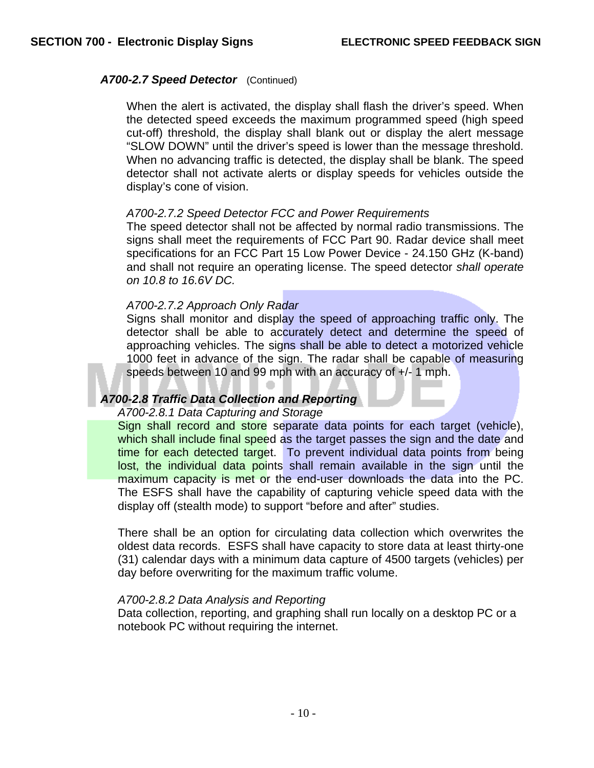# A700-2.7 Speed Detector (Continued)

When the alert is activated, the display shall flash the driver's speed. When the detected speed exceeds the maximum programmed speed (high speed cut-off) threshold, the display shall blank out or display the alert message "SLOW DOWN" until the driver's speed is lower than the message threshold. When no advancing traffic is detected, the display shall be blank. The speed detector shall not activate alerts or display speeds for vehicles outside the display's cone of vision.

# *A700-2.7.2 Speed Detector FCC and Power Requirements*

The speed detector shall not be affected by normal radio transmissions. The signs shall meet the requirements of FCC Part 90. Radar device shall meet specifications for an FCC Part 15 Low Power Device - 24.150 GHz (K-band) and shall not require an operating license. The speed detector *shall operate on 10.8 to 16.6V DC.* 

# *A700-2.7.2 Approach Only Radar*

Signs shall monitor and display the speed of approaching traffic only. The detector shall be able to accurately detect and determine the speed of approaching vehicles. The signs shall be able to detect a motorized vehicle 1000 feet in advance of the sign. The radar shall be capable of measuring speeds between 10 and 99 mph with an accuracy of +/- 1 mph.

# *A700-2.8 Traffic Data Collection and Reporting*

# *A700-2.8.1 Data Capturing and Storage*

Sign shall record and store separate data points for each target (vehicle), which shall include final speed as the target passes the sign and the date and time for each detected target. To prevent individual data points from being lost, the individual data points shall remain available in the sign until the maximum capacity is met or the end-user downloads the data into the PC. The ESFS shall have the capability of capturing vehicle speed data with the display off (stealth mode) to support "before and after" studies.

There shall be an option for circulating data collection which overwrites the oldest data records. ESFS shall have capacity to store data at least thirty-one (31) calendar days with a minimum data capture of 4500 targets (vehicles) per day before overwriting for the maximum traffic volume.

# *A700-2.8.2 Data Analysis and Reporting*

Data collection, reporting, and graphing shall run locally on a desktop PC or a notebook PC without requiring the internet.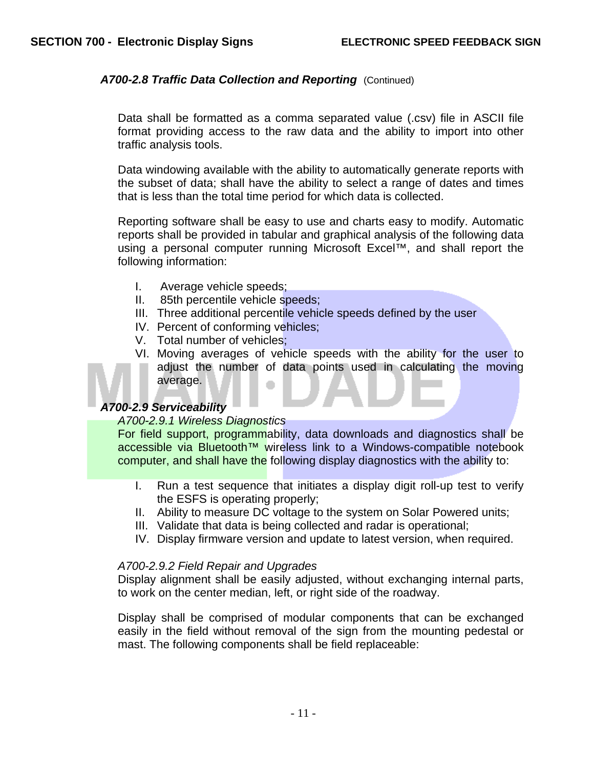# A700-2.8 Traffic Data Collection and Reporting (Continued)

Data shall be formatted as a comma separated value (.csv) file in ASCII file format providing access to the raw data and the ability to import into other traffic analysis tools.

Data windowing available with the ability to automatically generate reports with the subset of data; shall have the ability to select a range of dates and times that is less than the total time period for which data is collected.

Reporting software shall be easy to use and charts easy to modify. Automatic reports shall be provided in tabular and graphical analysis of the following data using a personal computer running Microsoft Excel™, and shall report the following information:

- I. Average vehicle speeds;
- II. 85th percentile vehicle speeds;
- III. Three additional percentile vehicle speeds defined by the user
- IV. Percent of conforming vehicles;
- V. Total number of vehicles;
- VI. Moving averages of vehicle speeds with the ability for the user to adjust the number of data points used in calculating the moving average.

# *A700-2.9 Serviceability*

# *A700-2.9.1 Wireless Diagnostics*

For field support, programmability, data downloads and diagnostics shall be accessible via Bluetooth<sup>™</sup> wireless link to a Windows-compatible notebook computer, and shall have the following display diagnostics with the ability to:

- I. Run a test sequence that initiates a display digit roll-up test to verify the ESFS is operating properly;
- II. Ability to measure DC voltage to the system on Solar Powered units;
- III. Validate that data is being collected and radar is operational;
- IV. Display firmware version and update to latest version, when required.

#### *A700-2.9.2 Field Repair and Upgrades*

Display alignment shall be easily adjusted, without exchanging internal parts, to work on the center median, left, or right side of the roadway.

Display shall be comprised of modular components that can be exchanged easily in the field without removal of the sign from the mounting pedestal or mast. The following components shall be field replaceable: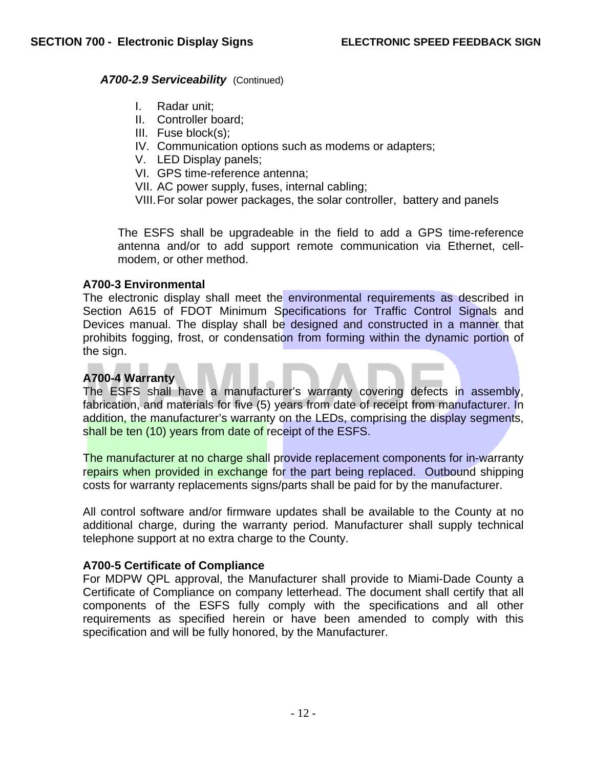# A700-2.9 Serviceability (Continued)

- I. Radar unit;
- II. Controller board;
- III. Fuse block(s);
- IV. Communication options such as modems or adapters;
- V. LED Display panels;
- VI. GPS time-reference antenna;
- VII. AC power supply, fuses, internal cabling;

VIII. For solar power packages, the solar controller, battery and panels

The ESFS shall be upgradeable in the field to add a GPS time-reference antenna and/or to add support remote communication via Ethernet, cellmodem, or other method.

# **A700-3 Environmental**

The electronic display shall meet the environmental requirements as described in Section A615 of FDOT Minimum Specifications for Traffic Control Signals and Devices manual. The display shall be designed and constructed in a manner that prohibits fogging, frost, or condensation from forming within the dynamic portion of the sign.

# **A700-4 Warranty**

The ESFS shall have a manufacturer's warranty covering defects in assembly, fabrication, and materials for five (5) years from date of receipt from manufacturer. In addition, the manufacturer's warranty on the LEDs, comprising the display segments, shall be ten (10) years from date of receipt of the ESFS.

The manufacturer at no charge shall provide replacement components for in-warranty repairs when provided in exchange for the part being replaced. Outbound shipping costs for warranty replacements signs/parts shall be paid for by the manufacturer.

All control software and/or firmware updates shall be available to the County at no additional charge, during the warranty period. Manufacturer shall supply technical telephone support at no extra charge to the County.

# **A700-5 Certificate of Compliance**

For MDPW QPL approval, the Manufacturer shall provide to Miami-Dade County a Certificate of Compliance on company letterhead. The document shall certify that all components of the ESFS fully comply with the specifications and all other requirements as specified herein or have been amended to comply with this specification and will be fully honored, by the Manufacturer.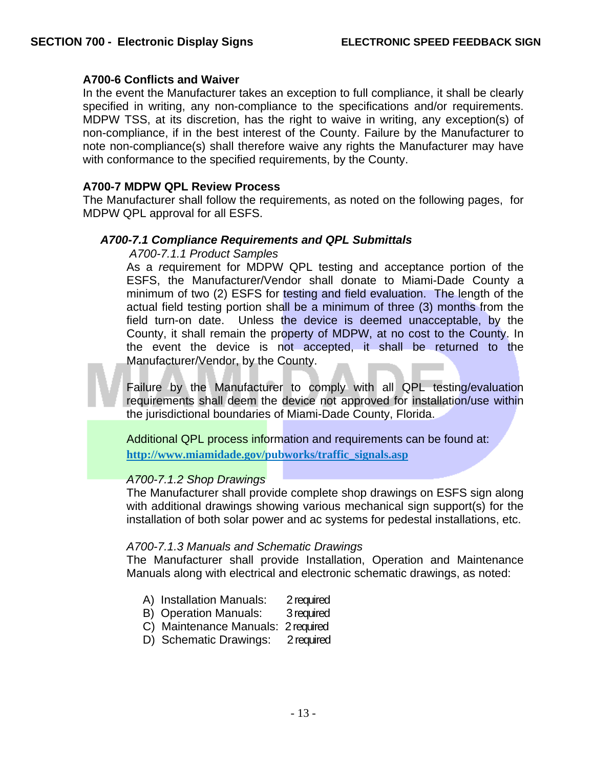# **A700-6 Conflicts and Waiver**

In the event the Manufacturer takes an exception to full compliance, it shall be clearly specified in writing, any non-compliance to the specifications and/or requirements. MDPW TSS, at its discretion, has the right to waive in writing, any exception(s) of non-compliance, if in the best interest of the County. Failure by the Manufacturer to note non-compliance(s) shall therefore waive any rights the Manufacturer may have with conformance to the specified requirements, by the County.

#### **A700-7 MDPW QPL Review Process**

The Manufacturer shall follow the requirements, as noted on the following pages, for MDPW QPL approval for all ESFS.

#### *A700-7.1 Compliance Requirements and QPL Submittals*

#### *A700-7.1.1 Product Samples*

As a *re*quirement for MDPW QPL testing and acceptance portion of the ESFS, the Manufacturer/Vendor shall donate to Miami-Dade County a minimum of two (2) ESFS for testing and field evaluation. The length of the actual field testing portion shall be a minimum of three (3) months from the field turn-on date. Unless the device is deemed unacceptable, by the County, it shall remain the property of MDPW, at no cost to the County. In the event the device is not accepted, it shall be returned to the Manufacturer/Vendor, by the County.

Failure by the Manufacturer to comply with all QPL testing/evaluation requirements shall deem the device not approved for installation/use within the jurisdictional boundaries of Miami-Dade County, Florida.

Additional QPL process information and requirements can be found at: **http://www.miamidade.gov/pubworks/traffic\_signals.asp**

#### *A700-7.1.2 Shop Drawings*

The Manufacturer shall provide complete shop drawings on ESFS sign along with additional drawings showing various mechanical sign support(s) for the installation of both solar power and ac systems for pedestal installations, etc.

# *A700-7.1.3 Manuals and Schematic Drawings*

The Manufacturer shall provide Installation, Operation and Maintenance Manuals along with electrical and electronic schematic drawings, as noted:

- A)Installation Manuals:2 required
- **B)** Operation Manuals: 3 required
- C) Maintenance Manuals: 2 required
- D) Schematic Drawings: 2 required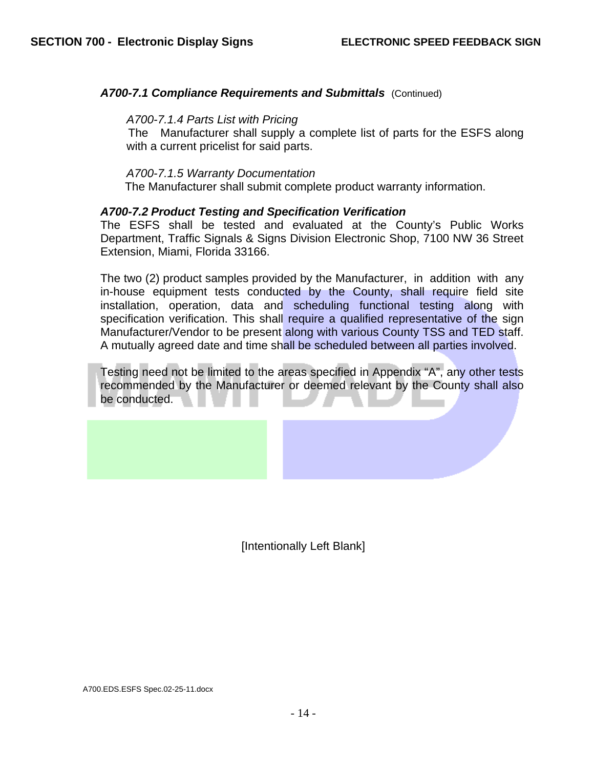# A700-7.1 Compliance Requirements and Submittals (Continued)

#### *A700-7.1.4 Parts List with Pricing*

The Manufacturer shall supply a complete list of parts for the ESFS along with a current pricelist for said parts.

#### *A700-7.1.5 Warranty Documentation*

The Manufacturer shall submit complete product warranty information.

#### *A700-7.2 Product Testing and Specification Verification*

The ESFS shall be tested and evaluated at the County's Public Works Department, Traffic Signals & Signs Division Electronic Shop, 7100 NW 36 Street Extension, Miami, Florida 33166.

The two (2) product samples provided by the Manufacturer, in addition with any in-house equipment tests conducted by the County, shall require field site installation, operation, data and scheduling functional testing along with specification verification. This shall require a qualified representative of the sign Manufacturer/Vendor to be present along with various County TSS and TED staff. A mutually agreed date and time shall be scheduled between all parties involved.

Testing need not be limited to the areas specified in Appendix "A", any other tests recommended by the Manufacturer or deemed relevant by the County shall also be conducted.

[Intentionally Left Blank]

A700.EDS.ESFS Spec.02-25-11.docx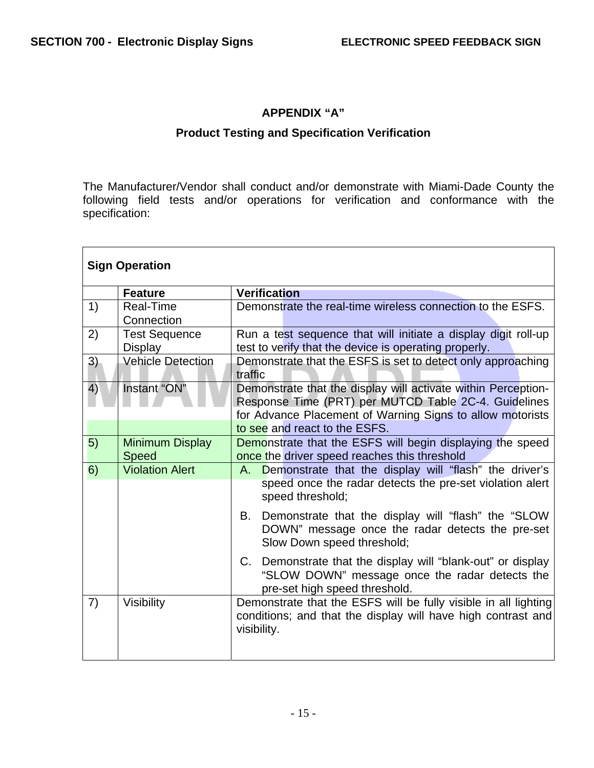# **APPENDIX "A"**

# **Product Testing and Specification Verification**

The Manufacturer/Vendor shall conduct and/or demonstrate with Miami-Dade County the following field tests and/or operations for verification and conformance with the specification:

| <b>Sign Operation</b> |                                        |                                                                                                                                                                                                                     |
|-----------------------|----------------------------------------|---------------------------------------------------------------------------------------------------------------------------------------------------------------------------------------------------------------------|
|                       | <b>Feature</b>                         | <b>Verification</b>                                                                                                                                                                                                 |
| 1)                    | <b>Real-Time</b><br>Connection         | Demonstrate the real-time wireless connection to the ESFS.                                                                                                                                                          |
| 2)                    | <b>Test Sequence</b><br>Display        | Run a test sequence that will initiate a display digit roll-up<br>test to verify that the device is operating properly.                                                                                             |
| 3)                    | <b>Vehicle Detection</b>               | Demonstrate that the ESFS is set to detect only approaching<br>traffic                                                                                                                                              |
| 4)                    | Instant "ON"                           | Demonstrate that the display will activate within Perception-<br>Response Time (PRT) per MUTCD Table 2C-4. Guidelines<br>for Advance Placement of Warning Signs to allow motorists<br>to see and react to the ESFS. |
| 5)                    | <b>Minimum Display</b><br><b>Speed</b> | Demonstrate that the ESFS will begin displaying the speed<br>once the driver speed reaches this threshold                                                                                                           |
| 6)                    | <b>Violation Alert</b>                 | Demonstrate that the display will "flash" the driver's<br>A.<br>speed once the radar detects the pre-set violation alert<br>speed threshold;                                                                        |
|                       |                                        | Demonstrate that the display will "flash" the "SLOW<br>В.<br>DOWN" message once the radar detects the pre-set<br>Slow Down speed threshold;                                                                         |
|                       |                                        | C. Demonstrate that the display will "blank-out" or display<br>"SLOW DOWN" message once the radar detects the<br>pre-set high speed threshold.                                                                      |
| 7)                    | Visibility                             | Demonstrate that the ESFS will be fully visible in all lighting<br>conditions; and that the display will have high contrast and<br>visibility.                                                                      |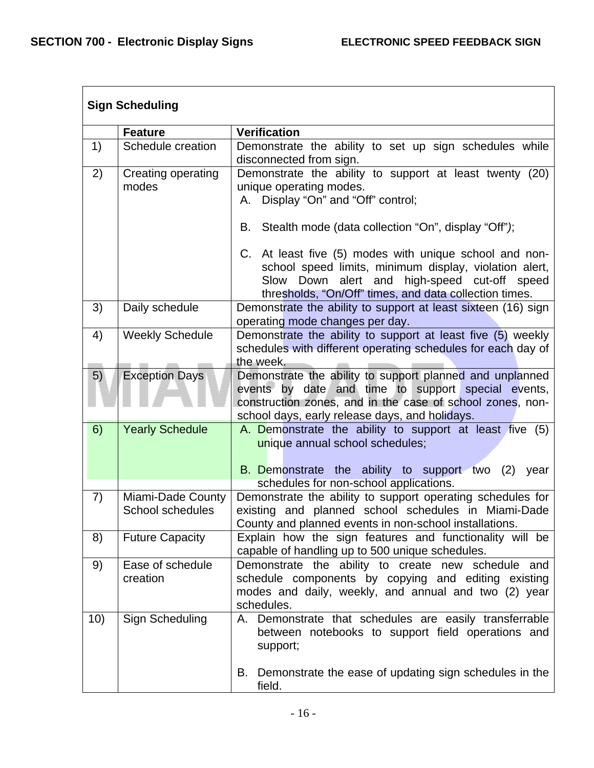|     | <b>Sign Scheduling</b>                       |                                                                                                                                                                                                                               |  |
|-----|----------------------------------------------|-------------------------------------------------------------------------------------------------------------------------------------------------------------------------------------------------------------------------------|--|
|     | <b>Feature</b>                               | <b>Verification</b>                                                                                                                                                                                                           |  |
| 1)  | Schedule creation                            | Demonstrate the ability to set up sign schedules while<br>disconnected from sign.                                                                                                                                             |  |
| 2)  | Creating operating<br>modes                  | Demonstrate the ability to support at least twenty (20)<br>unique operating modes.<br>A. Display "On" and "Off" control;                                                                                                      |  |
|     |                                              | Stealth mode (data collection "On", display "Off");<br>В.                                                                                                                                                                     |  |
|     |                                              | C. At least five (5) modes with unique school and non-<br>school speed limits, minimum display, violation alert,<br>Slow Down alert and high-speed cut-off speed<br>thresholds, "On/Off" times, and data collection times.    |  |
| 3)  | Daily schedule                               | Demonstrate the ability to support at least sixteen (16) sign<br>operating mode changes per day.                                                                                                                              |  |
| 4)  | <b>Weekly Schedule</b>                       | Demonstrate the ability to support at least five (5) weekly<br>schedules with different operating schedules for each day of<br>the week.                                                                                      |  |
| 5)  | <b>Exception Days</b>                        | Demonstrate the ability to support planned and unplanned<br>events by date and time to support special events,<br>construction zones, and in the case of school zones, non-<br>school days, early release days, and holidays. |  |
| 6)  | <b>Yearly Schedule</b>                       | A. Demonstrate the ability to support at least five (5)<br>unique annual school schedules;<br><b>B.</b> Demonstrate the ability to support two (2) year<br>schedules for non-school applications.                             |  |
| 7)  | Miami-Dade County<br><b>School schedules</b> | Demonstrate the ability to support operating schedules for<br>existing and planned school schedules in Miami-Dade<br>County and planned events in non-school installations.                                                   |  |
| 8)  | <b>Future Capacity</b>                       | Explain how the sign features and functionality will be<br>capable of handling up to 500 unique schedules.                                                                                                                    |  |
| 9)  | Ease of schedule<br>creation                 | Demonstrate the ability to create new schedule and<br>schedule components by copying and editing existing<br>modes and daily, weekly, and annual and two (2) year<br>schedules.                                               |  |
| 10) | Sign Scheduling                              | A. Demonstrate that schedules are easily transferrable<br>between notebooks to support field operations and<br>support;                                                                                                       |  |
|     |                                              | B. Demonstrate the ease of updating sign schedules in the<br>field.                                                                                                                                                           |  |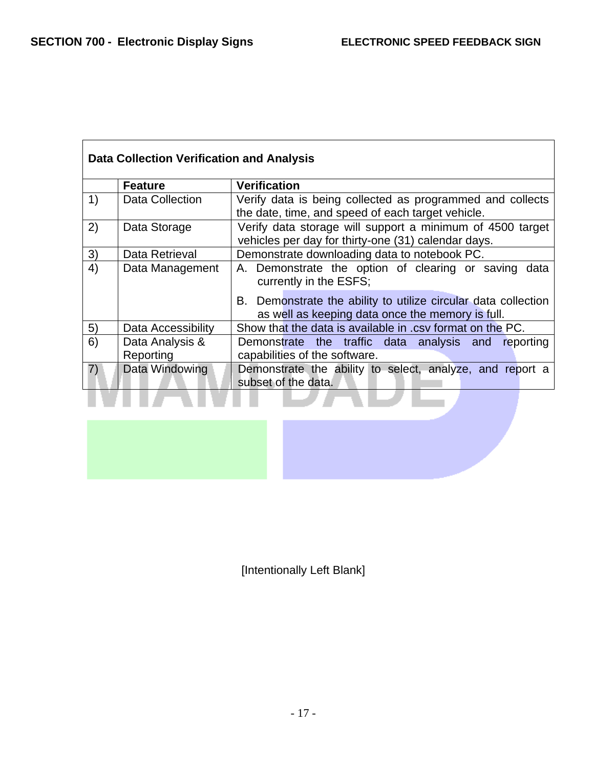|    | <b>Feature</b>     | <b>Verification</b>                                                                                                |
|----|--------------------|--------------------------------------------------------------------------------------------------------------------|
| 1) | Data Collection    | Verify data is being collected as programmed and collects                                                          |
|    |                    | the date, time, and speed of each target vehicle.                                                                  |
| 2) | Data Storage       | Verify data storage will support a minimum of 4500 target                                                          |
|    |                    | vehicles per day for thirty-one (31) calendar days.                                                                |
| 3) | Data Retrieval     | Demonstrate downloading data to notebook PC.                                                                       |
| 4) | Data Management    | A. Demonstrate the option of clearing or saving data<br>currently in the ESFS;                                     |
|    |                    | B. Demonstrate the ability to utilize circular data collection<br>as well as keeping data once the memory is full. |
| 5) | Data Accessibility | Show that the data is available in .csv format on the PC.                                                          |
| 6) | Data Analysis &    | Demonstrate the traffic data analysis and reporting                                                                |
|    | Reporting          | capabilities of the software.                                                                                      |
| 7) | Data Windowing     | Demonstrate the ability to select, analyze, and report a<br>subset of the data.                                    |

[Intentionally Left Blank]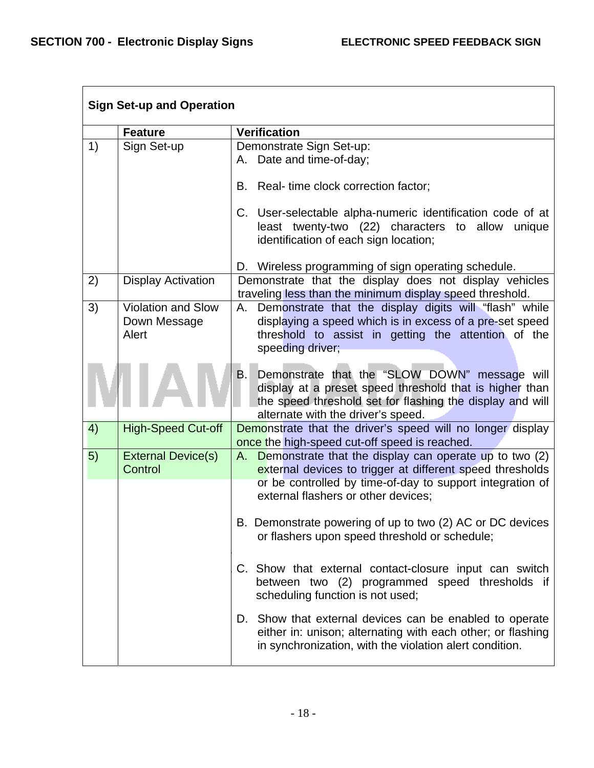| <b>Sign Set-up and Operation</b> |                                                    |                                                                                                                                                                                                                               |  |
|----------------------------------|----------------------------------------------------|-------------------------------------------------------------------------------------------------------------------------------------------------------------------------------------------------------------------------------|--|
|                                  | <b>Feature</b>                                     | <b>Verification</b>                                                                                                                                                                                                           |  |
| 1)                               | Sign Set-up                                        | Demonstrate Sign Set-up:<br>A. Date and time-of-day;<br>B. Real-time clock correction factor;<br>C. User-selectable alpha-numeric identification code of at                                                                   |  |
|                                  |                                                    | least twenty-two (22) characters to allow<br>unique<br>identification of each sign location;<br>D. Wireless programming of sign operating schedule.                                                                           |  |
| 2)                               | <b>Display Activation</b>                          | Demonstrate that the display does not display vehicles<br>traveling less than the minimum display speed threshold.                                                                                                            |  |
| 3)                               | <b>Violation and Slow</b><br>Down Message<br>Alert | A. Demonstrate that the display digits will "flash" while<br>displaying a speed which is in excess of a pre-set speed<br>threshold to assist in getting the attention of the<br>speeding driver;                              |  |
|                                  |                                                    | Demonstrate that the "SLOW DOWN" message will<br>B.<br>display at a preset speed threshold that is higher than<br>the speed threshold set for flashing the display and will<br>alternate with the driver's speed.             |  |
| 4)                               | <b>High-Speed Cut-off</b>                          | Demonstrate that the driver's speed will no longer display<br>once the high-speed cut-off speed is reached.                                                                                                                   |  |
| 5)                               | <b>External Device(s)</b><br>Control               | Demonstrate that the display can operate up to two (2)<br>А.<br>external devices to trigger at different speed thresholds<br>or be controlled by time-of-day to support integration of<br>external flashers or other devices; |  |
|                                  |                                                    | B. Demonstrate powering of up to two (2) AC or DC devices<br>or flashers upon speed threshold or schedule;                                                                                                                    |  |
|                                  |                                                    | C. Show that external contact-closure input can switch<br>between two (2) programmed speed thresholds if<br>scheduling function is not used;                                                                                  |  |
|                                  |                                                    | D. Show that external devices can be enabled to operate<br>either in: unison; alternating with each other; or flashing<br>in synchronization, with the violation alert condition.                                             |  |